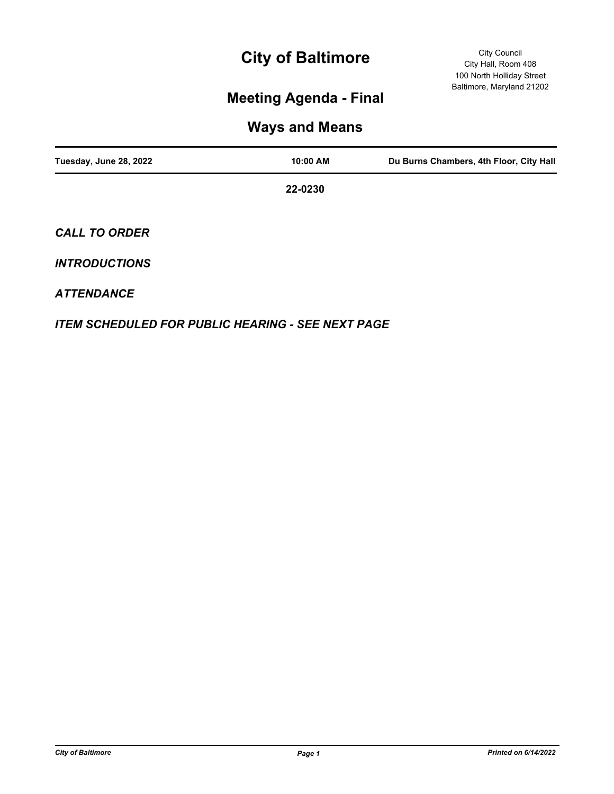# **City of Baltimore**

## **Meeting Agenda - Final**

## **Ways and Means**

| Tuesday, June 28, 2022 | 10:00 AM | Du Burns Chambers, 4th Floor, City Hall |
|------------------------|----------|-----------------------------------------|
|                        | 22-0230  |                                         |
| <b>CALL TO ORDER</b>   |          |                                         |
| <b>INTRODUCTIONS</b>   |          |                                         |

### *ATTENDANCE*

*ITEM SCHEDULED FOR PUBLIC HEARING - SEE NEXT PAGE*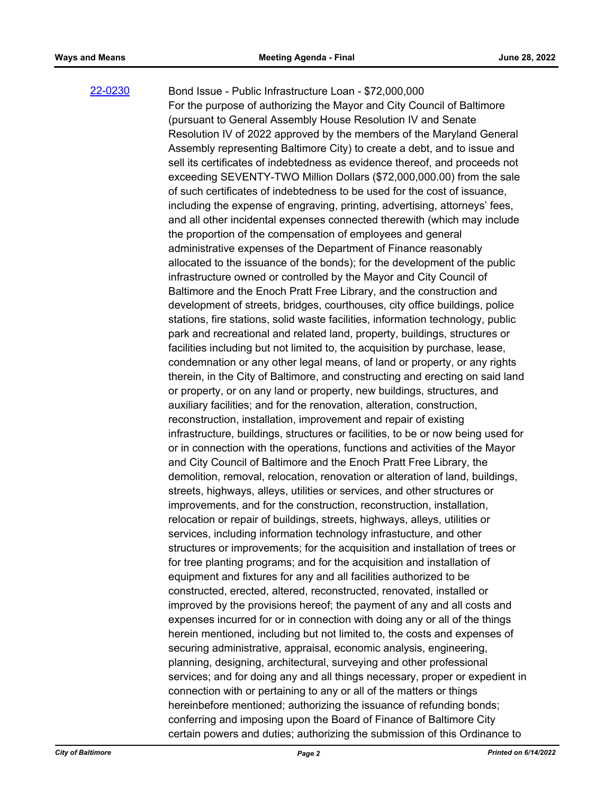#### [22-0230](http://baltimore.legistar.com/gateway.aspx?m=l&id=/matter.aspx?key=9119)

Bond Issue - Public Infrastructure Loan - \$72,000,000 For the purpose of authorizing the Mayor and City Council of Baltimore (pursuant to General Assembly House Resolution IV and Senate Resolution IV of 2022 approved by the members of the Maryland General Assembly representing Baltimore City) to create a debt, and to issue and sell its certificates of indebtedness as evidence thereof, and proceeds not exceeding SEVENTY-TWO Million Dollars (\$72,000,000.00) from the sale of such certificates of indebtedness to be used for the cost of issuance, including the expense of engraving, printing, advertising, attorneys' fees, and all other incidental expenses connected therewith (which may include the proportion of the compensation of employees and general administrative expenses of the Department of Finance reasonably allocated to the issuance of the bonds); for the development of the public infrastructure owned or controlled by the Mayor and City Council of Baltimore and the Enoch Pratt Free Library, and the construction and development of streets, bridges, courthouses, city office buildings, police stations, fire stations, solid waste facilities, information technology, public park and recreational and related land, property, buildings, structures or facilities including but not limited to, the acquisition by purchase, lease, condemnation or any other legal means, of land or property, or any rights therein, in the City of Baltimore, and constructing and erecting on said land or property, or on any land or property, new buildings, structures, and auxiliary facilities; and for the renovation, alteration, construction, reconstruction, installation, improvement and repair of existing infrastructure, buildings, structures or facilities, to be or now being used for or in connection with the operations, functions and activities of the Mayor and City Council of Baltimore and the Enoch Pratt Free Library, the demolition, removal, relocation, renovation or alteration of land, buildings, streets, highways, alleys, utilities or services, and other structures or improvements, and for the construction, reconstruction, installation, relocation or repair of buildings, streets, highways, alleys, utilities or services, including information technology infrastucture, and other structures or improvements; for the acquisition and installation of trees or for tree planting programs; and for the acquisition and installation of equipment and fixtures for any and all facilities authorized to be constructed, erected, altered, reconstructed, renovated, installed or improved by the provisions hereof; the payment of any and all costs and expenses incurred for or in connection with doing any or all of the things herein mentioned, including but not limited to, the costs and expenses of securing administrative, appraisal, economic analysis, engineering, planning, designing, architectural, surveying and other professional services; and for doing any and all things necessary, proper or expedient in connection with or pertaining to any or all of the matters or things hereinbefore mentioned; authorizing the issuance of refunding bonds; conferring and imposing upon the Board of Finance of Baltimore City certain powers and duties; authorizing the submission of this Ordinance to